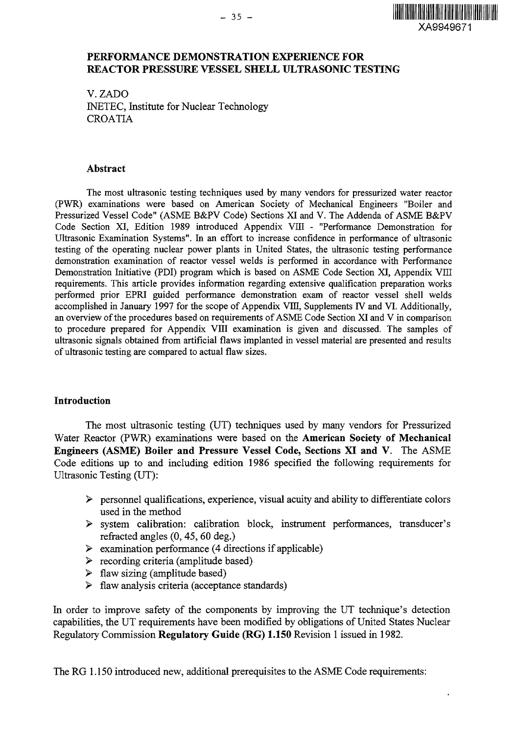$\ddot{\phantom{0}}$ 

## **PERFORMANCE DEMONSTRATION EXPERIENCE FOR REACTOR PRESSURE VESSEL SHELL ULTRASONIC TESTING**

V.ZADO INETEC, Institute for Nuclear Technology CROATIA

#### **Abstract**

The most ultrasonic testing techniques used by many vendors for pressurized water reactor (PWR) examinations were based on American Society of Mechanical Engineers "Boiler and Pressurized Vessel Code" (ASME B&PV Code) Sections XI and V. The Addenda of ASME B&PV Code Section XI, Edition 1989 introduced Appendix VIII - "Performance Demonstration for Ultrasonic Examination Systems". In an effort to increase confidence in performance of ultrasonic testing of the operating nuclear power plants in United States, the ultrasonic testing performance demonstration examination of reactor vessel welds is performed in accordance with Performance Demonstration Initiative (PDI) program which is based on ASME Code Section XI, Appendix VIII requirements. This article provides information regarding extensive qualification preparation works performed prior EPRI guided performance demonstration exam of reactor vessel shell welds accomplished in January 1997 for the scope of Appendix VIII, Supplements IV and VI. Additionally, an overview of the procedures based on requirements of ASME Code Section XI and V in comparison to procedure prepared for Appendix VIII examination is given and discussed. The samples of ultrasonic signals obtained from artificial flaws implanted in vessel material are presented and results of ultrasonic testing are compared to actual flaw sizes.

### **Introduction**

The most ultrasonic testing (UT) techniques used by many vendors for Pressurized Water Reactor (PWR) examinations were based on the **American Society of Mechanical Engineers (ASME) Boiler and Pressure Vessel Code, Sections XI and V.** The ASME Code editions up to and including edition 1986 specified the following requirements for Ultrasonic Testing (UT):

- $\triangleright$  personnel qualifications, experience, visual acuity and ability to differentiate colors used in the method
- > system calibration: calibration block, instrument performances, transducer's refracted angles (0,45, 60 deg.)
- $\triangleright$  examination performance (4 directions if applicable)
- > recording criteria (amplitude based)
- $\triangleright$  flaw sizing (amplitude based)
- $\triangleright$  flaw analysis criteria (acceptance standards)

In order to improve safety of the components by improving the UT technique's detection capabilities, the UT requirements have been modified by obligations of United States Nuclear Regulatory Commission **Regulatory Guide (RG) 1.150** Revision 1 issued in 1982.

The RG 1.150 introduced new, additional prerequisites to the ASME Code requirements: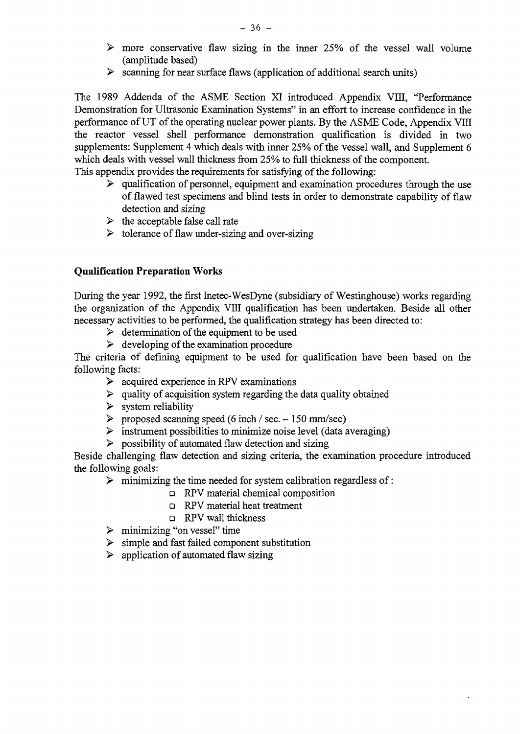- $\triangleright$  more conservative flaw sizing in the inner 25% of the vessel wall volume (amplitude based)
- $\triangleright$  scanning for near surface flaws (application of additional search units)

The 1989 Addenda of the ASME Section XI introduced Appendix VIII, "Performance Demonstration for Ultrasonic Examination Systems" in an effort to increase confidence in the performance of UT of the operating nuclear power plants. By the ASME Code, Appendix VIII the reactor vessel shell performance demonstration qualification is divided in two supplements: Supplement 4 which deals with inner 25% of the vessel wall, and Supplement 6 which deals with vessel wall thickness from 25% to full thickness of the component.

This appendix provides the requirements for satisfying of the following:

- $\triangleright$  qualification of personnel, equipment and examination procedures through the use of flawed test specimens and blind tests in order to demonstrate capability of flaw detection and sizing
- $\triangleright$  the acceptable false call rate
- $\triangleright$  tolerance of flaw under-sizing and over-sizing

## **Qualification Preparation Works**

During the year 1992, the first Inetec-WesDyne (subsidiary of Westinghouse) works regarding the organization of the Appendix VIII qualification has been undertaken. Beside all other necessary activities to be performed, the qualification strategy has been directed to:

- $\triangleright$  determination of the equipment to be used
- $\geq$  developing of the examination procedure

The criteria of defining equipment to be used for qualification have been based on the following facts:

- $\geq$  acquired experience in RPV examinations
- $\geq$  quality of acquisition system regarding the data quality obtained
- $\triangleright$  system reliability
- $\triangleright$  proposed scanning speed (6 inch / sec. 150 mm/sec)
- $\triangleright$  instrument possibilities to minimize noise level (data averaging)
- $\triangleright$  possibility of automated flaw detection and sizing

Beside challenging flaw detection and sizing criteria, the examination procedure introduced the following goals:

- $\triangleright$  minimizing the time needed for system calibration regardless of :
	- **a** RPV material chemical composition
	- RPV material heat treatment
	- **a** RPV wall thickness
- $\triangleright$  minimizing "on vessel" time
- $\triangleright$  simple and fast failed component substitution
- $\triangleright$  application of automated flaw sizing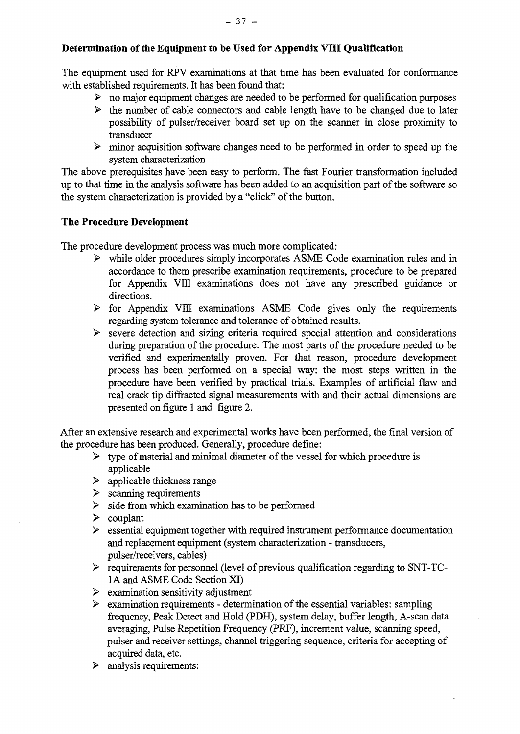# **Determination of the Equipment to be Used for Appendix VIII Qualification**

The equipment used for RPV examinations at that time has been evaluated for conformance with established requirements. It has been found that:

- $\triangleright$  no major equipment changes are needed to be performed for qualification purposes
- $\triangleright$  the number of cable connectors and cable length have to be changed due to later possibility of pulser/receiver board set up on the scanner in close proximity to transducer
- $\triangleright$  minor acquisition software changes need to be performed in order to speed up the system characterization

The above prerequisites have been easy to perform. The fast Fourier transformation included up to that time in the analysis software has been added to an acquisition part of the software so the system characterization is provided by a "click" of the button.

## **The Procedure Development**

The procedure development process was much more complicated:

- > while older procedures simply incorporates ASME Code examination rules and in accordance to them prescribe examination requirements, procedure to be prepared for Appendix VIII examinations does not have any prescribed guidance or directions.
- $\triangleright$  for Appendix VIII examinations ASME Code gives only the requirements regarding system tolerance and tolerance of obtained results.
- $\triangleright$  severe detection and sizing criteria required special attention and considerations during preparation of the procedure. The most parts of the procedure needed to be verified and experimentally proven. For that reason, procedure development process has been performed on a special way: the most steps written in the procedure have been verified by practical trials. Examples of artificial flaw and real crack tip diffracted signal measurements with and their actual dimensions are presented on figure 1 and figure 2.

After an extensive research and experimental works have been performed, the final version of the procedure has been produced. Generally, procedure define:

- $\triangleright$  type of material and minimal diameter of the vessel for which procedure is applicable
- $\triangleright$  applicable thickness range
- $\triangleright$  scanning requirements
- $\triangleright$  side from which examination has to be performed
- $\triangleright$  couplant
- $\triangleright$  essential equipment together with required instrument performance documentation and replacement equipment (system characterization - transducers, pulser/receivers, cables)
- > requirements for personnel (level of previous qualification regarding to SNT-TC-1A and ASME Code Section XI)
- $\triangleright$  examination sensitivity adjustment
- $\triangleright$  examination requirements determination of the essential variables: sampling frequency, Peak Detect and Hold (PDH), system delay, buffer length, A-scan data averaging, Pulse Repetition Frequency (PRF), increment value, scanning speed, pulser and receiver settings, channel triggering sequence, criteria for accepting of acquired data, etc.
- $\triangleright$  analysis requirements: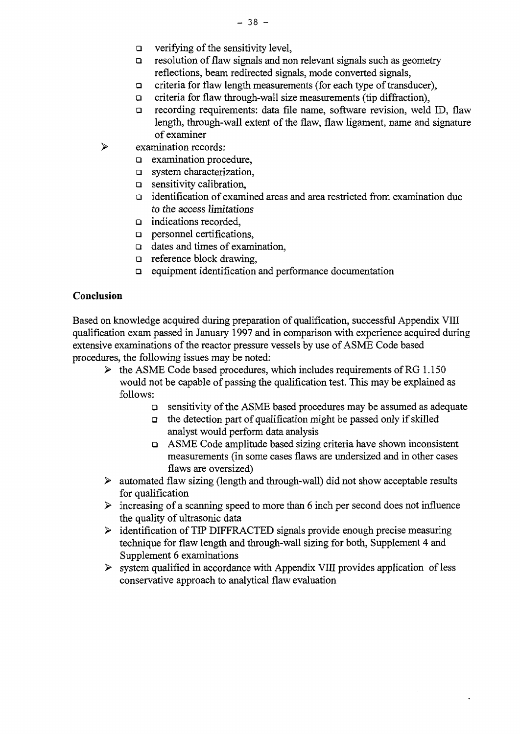- $\Box$  verifying of the sensitivity level,
- $\Box$  resolution of flaw signals and non relevant signals such as geometry reflections, beam redirected signals, mode converted signals,
- $\Box$  criteria for flaw length measurements (for each type of transducer),
- $\Box$  criteria for flaw through-wall size measurements (tip diffraction),
- recording requirements: data file name, software revision, weld ID, flaw length, through-wall extent of the flaw, flaw ligament, name and signature of examiner
- $\blacktriangleright$ examination records:
	- a examination procedure,
	- **a** system characterization,
	- $\Box$  sensitivity calibration,
	- $\Box$  identification of examined areas and area restricted from examination due to the access limitations
	- □ indications recorded,
	- $\Box$  personnel certifications.
	- $\Box$  dates and times of examination,
	- **a** reference block drawing,
	- $\Box$  equipment identification and performance documentation

### **Conclusion**

Based on knowledge acquired during preparation of qualification, successful Appendix VIII qualification exam passed in January 1997 and in comparison with experience acquired during extensive examinations of the reactor pressure vessels by use of ASME Code based procedures, the following issues may be noted:

- $\triangleright$  the ASME Code based procedures, which includes requirements of RG 1.150 would not be capable of passing the qualification test. This may be explained as follows:
	- a sensitivity of the ASME based procedures may be assumed as adequate
	- $\Box$  the detection part of qualification might be passed only if skilled analyst would perform data analysis
	- $\Box$  ASME Code amplitude based sizing criteria have shown inconsistent measurements (in some cases flaws are undersized and in other cases flaws are oversized)
- > automated flaw sizing (length and through-wall) *did* not show acceptable results for qualification
- $\triangleright$  increasing of a scanning speed to more than 6 inch per second does not influence the quality of ultrasonic data
- > identification of TIP DIFFRACTED signals provide enough precise measuring technique for flaw length and through-wall sizing for both, Supplement 4 and Supplement 6 examinations
- $\triangleright$  system qualified in accordance with Appendix VIII provides application of less conservative approach to analytical flaw evaluation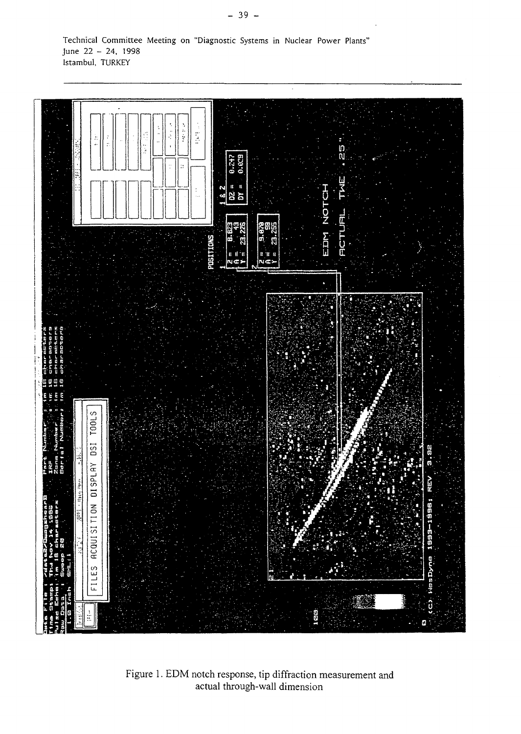Technical Committee Meeting on "Diagnostic Systems in Nuclear Power Plants" June 22 - 24, 1998 Istambul, TURKEY



Figure 1. EDM notch response, tip diffraction measurement and actual through-wall dimension